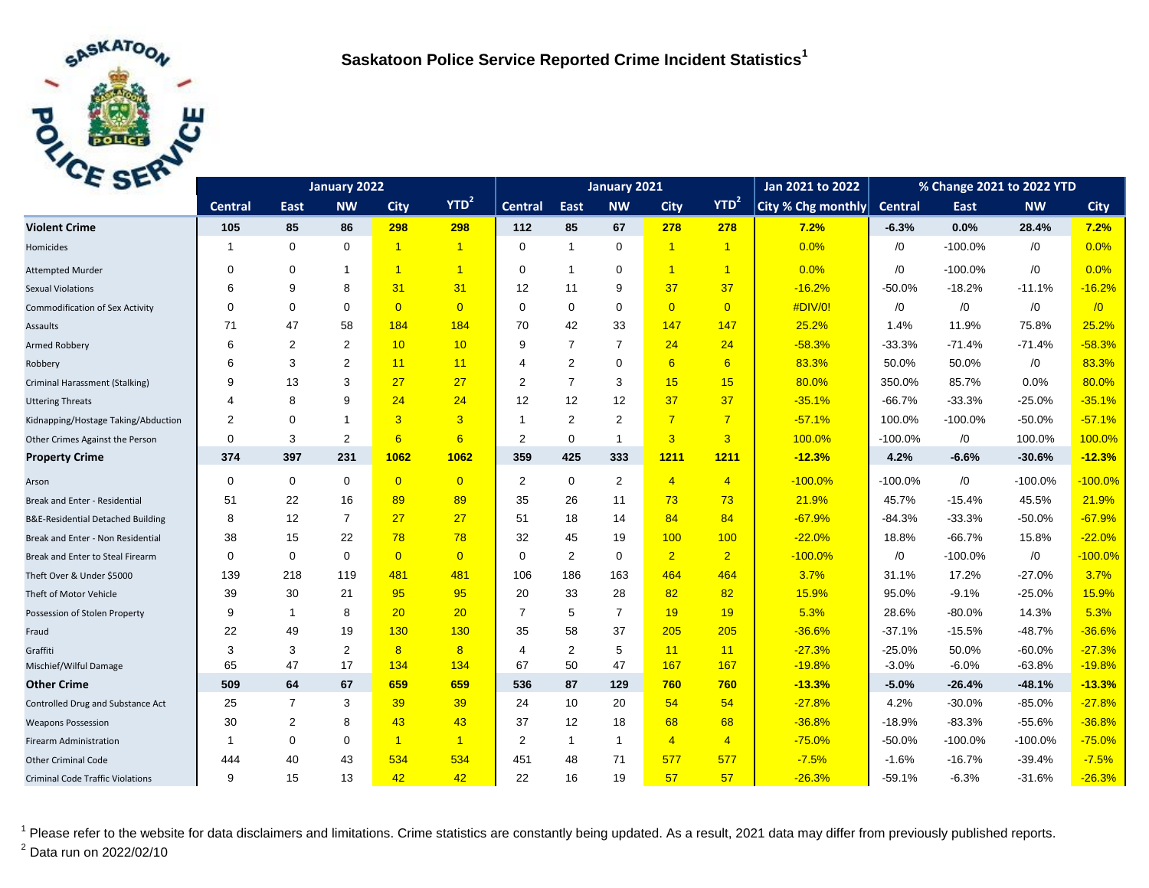

| E <sub>2F</sub>                              |                | January 2021   |                |                |                      |                | Jan 2021 to 2022  | % Change 2021 to 2022 YTD |                |                         |                    |                |           |            |             |
|----------------------------------------------|----------------|----------------|----------------|----------------|----------------------|----------------|-------------------|---------------------------|----------------|-------------------------|--------------------|----------------|-----------|------------|-------------|
|                                              | <b>Central</b> | East           | <b>NW</b>      | <b>City</b>    | YTD <sup>2</sup>     | <b>Central</b> | East              | <b>NW</b>                 | <b>City</b>    | YTD <sup>2</sup>        | City % Chg monthly | <b>Central</b> | East      | <b>NW</b>  | <b>City</b> |
| <b>Violent Crime</b>                         | 105            | 85             | 86             | 298            | 298                  | 112            | 85                | 67                        | 278            | 278                     | 7.2%               | $-6.3%$        | 0.0%      | 28.4%      | 7.2%        |
| Homicides                                    | $\mathbf{1}$   | $\mathbf 0$    | $\mathbf 0$    | $\overline{1}$ | $\blacktriangleleft$ | $\mathbf 0$    | $\overline{1}$    | $\mathbf 0$               | $\overline{1}$ | $\overline{1}$          | 0.0%               | /0             | $-100.0%$ | /0         | 0.0%        |
| <b>Attempted Murder</b>                      | 0              | $\mathbf 0$    | 1              | $\overline{1}$ | $\overline{1}$       | 0              | $\overline{1}$    | $\mathbf 0$               | $\overline{1}$ | $\overline{\mathbf{1}}$ | 0.0%               | /0             | $-100.0%$ | $\sqrt{0}$ | 0.0%        |
| <b>Sexual Violations</b>                     | 6              | 9              | 8              | 31             | 31                   | 12             | 11                | 9                         | 37             | 37                      | $-16.2%$           | $-50.0%$       | $-18.2%$  | $-11.1%$   | $-16.2%$    |
| <b>Commodification of Sex Activity</b>       | $\Omega$       | $\mathbf 0$    | $\mathbf 0$    | $\overline{0}$ | $\overline{0}$       | $\mathbf 0$    | $\mathbf 0$       | $\mathbf 0$               | $\overline{0}$ | $\overline{0}$          | #DIV/0!            | /0             | /0        | $\sqrt{0}$ | $\sqrt{0}$  |
| Assaults                                     | 71             | 47             | 58             | 184            | 184                  | 70             | 42                | 33                        | 147            | 147                     | 25.2%              | 1.4%           | 11.9%     | 75.8%      | 25.2%       |
| Armed Robbery                                | 6              | $\overline{2}$ | $\overline{2}$ | 10             | 10                   | 9              | $\overline{7}$    | $\overline{7}$            | 24             | 24                      | $-58.3%$           | $-33.3%$       | $-71.4%$  | $-71.4%$   | $-58.3%$    |
| Robbery                                      | 6              | 3              | 2              | 11             | 11                   | 4              | 2                 | $\mathbf 0$               | 6              | 6                       | 83.3%              | 50.0%          | 50.0%     | $\sqrt{0}$ | 83.3%       |
| Criminal Harassment (Stalking)               | 9              | 13             | 3              | 27             | 27                   | 2              | $\overline{7}$    | 3                         | 15             | 15                      | 80.0%              | 350.0%         | 85.7%     | 0.0%       | 80.0%       |
| <b>Uttering Threats</b>                      | 4              | 8              | 9              | 24             | 24                   | 12             | 12                | 12                        | 37             | 37                      | $-35.1%$           | $-66.7%$       | $-33.3%$  | $-25.0%$   | $-35.1%$    |
| Kidnapping/Hostage Taking/Abduction          | 2              | $\mathbf 0$    | $\mathbf 1$    | $\overline{3}$ | 3                    | -1             | 2                 | 2                         | $\overline{7}$ | $\overline{7}$          | $-57.1%$           | 100.0%         | $-100.0%$ | $-50.0%$   | $-57.1%$    |
| Other Crimes Against the Person              | $\Omega$       | 3              | $\overline{2}$ | 6              | 6                    | 2              | $\mathbf 0$       | $\overline{1}$            | $\overline{3}$ | 3                       | 100.0%             | $-100.0%$      | /0        | 100.0%     | 100.0%      |
| <b>Property Crime</b>                        | 374            | 397            | 231            | 1062           | 1062                 | 359            | 425               | 333                       | 1211           | 1211                    | $-12.3%$           | 4.2%           | $-6.6%$   | $-30.6%$   | $-12.3%$    |
| Arson                                        | $\mathbf 0$    | $\mathbf 0$    | $\mathbf 0$    | $\overline{0}$ | $\overline{0}$       | $\overline{2}$ | $\mathbf 0$       | $\overline{2}$            | $\overline{4}$ | $\overline{4}$          | $-100.0%$          | $-100.0%$      | /0        | $-100.0%$  | $-100.0%$   |
| Break and Enter - Residential                | 51             | 22             | 16             | 89             | 89                   | 35             | 26                | 11                        | 73             | 73                      | 21.9%              | 45.7%          | $-15.4%$  | 45.5%      | 21.9%       |
| <b>B&amp;E-Residential Detached Building</b> | 8              | 12             | $\overline{7}$ | 27             | 27                   | 51             | 18                | 14                        | 84             | 84                      | $-67.9%$           | $-84.3%$       | $-33.3%$  | $-50.0%$   | $-67.9%$    |
| Break and Enter - Non Residential            | 38             | 15             | 22             | 78             | 78                   | 32             | 45                | 19                        | 100            | 100                     | $-22.0%$           | 18.8%          | $-66.7%$  | 15.8%      | $-22.0%$    |
| Break and Enter to Steal Firearm             | $\mathbf 0$    | $\mathbf 0$    | $\mathbf 0$    | $\overline{0}$ | $\overline{0}$       | $\mathbf 0$    | 2                 | $\mathbf 0$               | $\overline{2}$ | $\overline{2}$          | $-100.0%$          | /0             | $-100.0%$ | $\sqrt{0}$ | $-100.0%$   |
| Theft Over & Under \$5000                    | 139            | 218            | 119            | 481            | 481                  | 106            | 186               | 163                       | 464            | 464                     | 3.7%               | 31.1%          | 17.2%     | $-27.0%$   | 3.7%        |
| Theft of Motor Vehicle                       | 39             | 30             | 21             | 95             | 95                   | 20             | 33                | 28                        | 82             | 82                      | 15.9%              | 95.0%          | $-9.1%$   | $-25.0%$   | 15.9%       |
| Possession of Stolen Property                | 9              | $\mathbf{1}$   | 8              | 20             | 20                   | $\overline{7}$ | 5                 | $\overline{7}$            | 19             | 19                      | 5.3%               | 28.6%          | $-80.0%$  | 14.3%      | 5.3%        |
| Fraud                                        | 22             | 49             | 19             | 130            | 130                  | 35             | 58                | 37                        | 205            | 205                     | $-36.6%$           | $-37.1%$       | $-15.5%$  | $-48.7%$   | $-36.6%$    |
| Graffiti                                     | 3              | 3              | 2              | 8              | 8                    | $\overline{4}$ | 2                 | 5                         | 11             | 11                      | $-27.3%$           | $-25.0%$       | 50.0%     | $-60.0%$   | $-27.3%$    |
| Mischief/Wilful Damage                       | 65             | 47             | 17             | 134            | 134                  | 67             | 50                | 47                        | 167            | 167                     | $-19.8%$           | $-3.0%$        | $-6.0%$   | $-63.8%$   | $-19.8%$    |
| <b>Other Crime</b>                           | 509            | 64             | 67             | 659            | 659                  | 536            | 87                | 129                       | 760            | 760                     | $-13.3%$           | $-5.0%$        | $-26.4%$  | $-48.1%$   | $-13.3%$    |
| Controlled Drug and Substance Act            | 25             | $\overline{7}$ | 3              | 39             | 39                   | 24             | 10                | 20                        | 54             | 54                      | $-27.8%$           | 4.2%           | $-30.0%$  | $-85.0%$   | $-27.8%$    |
| <b>Weapons Possession</b>                    | 30             | 2              | 8              | 43             | 43                   | 37             | $12 \overline{ }$ | 18                        | 68             | 68                      | $-36.8%$           | $-18.9%$       | $-83.3%$  | $-55.6%$   | $-36.8%$    |
| <b>Firearm Administration</b>                | -1             | $\mathbf 0$    | 0              | $\overline{1}$ | $\overline{1}$       | 2              | $\mathbf{1}$      | $\overline{1}$            | $\overline{4}$ | $\overline{4}$          | $-75.0%$           | $-50.0%$       | $-100.0%$ | $-100.0%$  | $-75.0%$    |
| <b>Other Criminal Code</b>                   | 444            | 40             | 43             | 534            | 534                  | 451            | 48                | 71                        | 577            | 577                     | $-7.5%$            | $-1.6%$        | $-16.7%$  | $-39.4%$   | $-7.5%$     |
| <b>Criminal Code Traffic Violations</b>      | 9              | 15             | 13             | 42             | 42                   | 22             | 16                | 19                        | 57             | 57                      | $-26.3%$           | $-59.1%$       | $-6.3%$   | $-31.6%$   | $-26.3%$    |

<sup>1</sup> Please refer to the website for data disclaimers and limitations. Crime statistics are constantly being updated. As a result, 2021 data may differ from previously published reports.  $^{2}$  Data run on 2022/02/10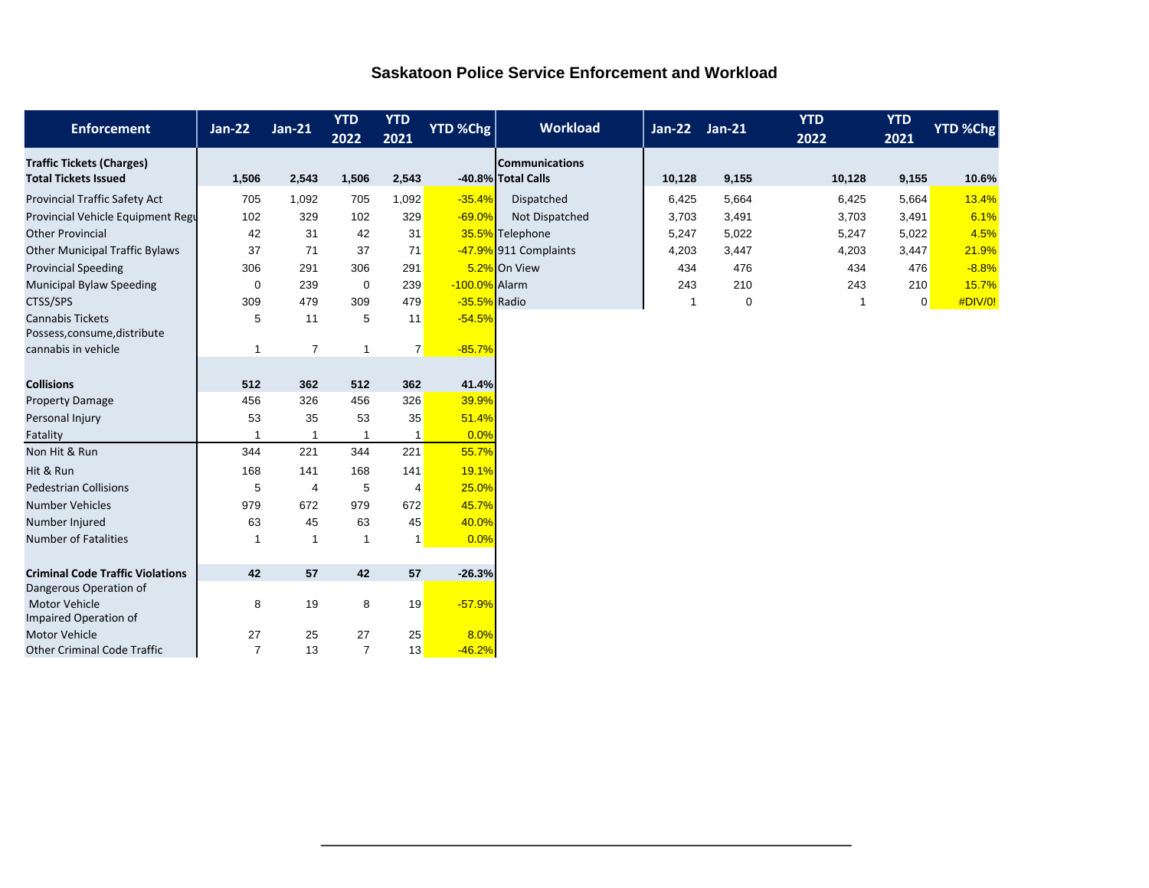## **Saskatoon Police Service Enforcement and Workload**

| <b>Enforcement</b>                                              | <b>Jan-22</b>  | $Jan-21$       | <b>YTD</b><br>2022 | <b>YTD</b><br>2021 | <b>YTD %Chg</b> | <b>Workload</b>                             | <b>Jan-22</b> | $Jan-21$    | <b>YTD</b><br>2022 | <b>YTD</b><br>2021 | YTD %Chg |
|-----------------------------------------------------------------|----------------|----------------|--------------------|--------------------|-----------------|---------------------------------------------|---------------|-------------|--------------------|--------------------|----------|
| <b>Traffic Tickets (Charges)</b><br><b>Total Tickets Issued</b> | 1,506          | 2,543          | 1,506              | 2,543              |                 | <b>Communications</b><br>-40.8% Total Calls | 10,128        | 9,155       | 10,128             | 9,155              | 10.6%    |
| Provincial Traffic Safety Act                                   | 705            | 1,092          | 705                | 1,092              | $-35.4%$        | Dispatched                                  | 6,425         | 5,664       | 6,425              | 5,664              | 13.4%    |
| Provincial Vehicle Equipment Regu                               | 102            | 329            | 102                | 329                | $-69.0%$        | Not Dispatched                              | 3,703         | 3,491       | 3,703              | 3,491              | 6.1%     |
| <b>Other Provincial</b>                                         | 42             | 31             | 42                 | 31                 |                 | 35.5% Telephone                             | 5,247         | 5,022       | 5,247              | 5,022              | 4.5%     |
| <b>Other Municipal Traffic Bylaws</b>                           | 37             | 71             | 37                 | 71                 |                 | -47.9% 911 Complaints                       | 4,203         | 3,447       | 4,203              | 3,447              | 21.9%    |
| <b>Provincial Speeding</b>                                      | 306            | 291            | 306                | 291                |                 | 5.2% On View                                | 434           | 476         | 434                | 476                | $-8.8%$  |
| <b>Municipal Bylaw Speeding</b>                                 | $\mathbf 0$    | 239            | $\mathbf 0$        | 239                | -100.0% Alarm   |                                             | 243           | 210         | 243                | 210                | 15.7%    |
| CTSS/SPS                                                        | 309            | 479            | 309                | 479                | -35.5% Radio    |                                             | -1            | $\mathbf 0$ | 1                  | 0                  | #DIV/0!  |
| <b>Cannabis Tickets</b><br>Possess, consume, distribute         | 5              | 11             | 5                  | 11                 | $-54.5%$        |                                             |               |             |                    |                    |          |
| cannabis in vehicle                                             | $\overline{1}$ | $\overline{7}$ | $\overline{1}$     | $\overline{7}$     | $-85.7%$        |                                             |               |             |                    |                    |          |
| <b>Collisions</b>                                               | 512            | 362            | 512                | 362                | 41.4%           |                                             |               |             |                    |                    |          |
| <b>Property Damage</b>                                          | 456            | 326            | 456                | 326                | 39.9%           |                                             |               |             |                    |                    |          |
| Personal Injury                                                 | 53             | 35             | 53                 | 35                 | 51.4%           |                                             |               |             |                    |                    |          |
| Fatality                                                        | -1             | $\mathbf{1}$   | $\overline{1}$     | -1                 | 0.0%            |                                             |               |             |                    |                    |          |
| Non Hit & Run                                                   | 344            | 221            | 344                | 221                | 55.7%           |                                             |               |             |                    |                    |          |
| Hit & Run                                                       | 168            | 141            | 168                | 141                | 19.1%           |                                             |               |             |                    |                    |          |
| <b>Pedestrian Collisions</b>                                    | 5              | $\overline{4}$ | 5                  | $\overline{4}$     | 25.0%           |                                             |               |             |                    |                    |          |
| <b>Number Vehicles</b>                                          | 979            | 672            | 979                | 672                | 45.7%           |                                             |               |             |                    |                    |          |
| Number Injured                                                  | 63             | 45             | 63                 | 45                 | 40.0%           |                                             |               |             |                    |                    |          |
| <b>Number of Fatalities</b>                                     | -1             | $\mathbf{1}$   | $\overline{1}$     | $\mathbf{1}$       | 0.0%            |                                             |               |             |                    |                    |          |
|                                                                 |                |                |                    |                    |                 |                                             |               |             |                    |                    |          |
| <b>Criminal Code Traffic Violations</b>                         | 42             | 57             | 42                 | 57                 | $-26.3%$        |                                             |               |             |                    |                    |          |
| Dangerous Operation of<br><b>Motor Vehicle</b>                  | 8              | 19             | 8                  | 19                 | $-57.9%$        |                                             |               |             |                    |                    |          |
| Impaired Operation of                                           |                |                |                    |                    |                 |                                             |               |             |                    |                    |          |
| <b>Motor Vehicle</b>                                            | 27             | 25             | 27                 | 25                 | 8.0%            |                                             |               |             |                    |                    |          |
| <b>Other Criminal Code Traffic</b>                              | $\overline{7}$ | 13             | $\overline{7}$     | 13                 | $-46.2%$        |                                             |               |             |                    |                    |          |